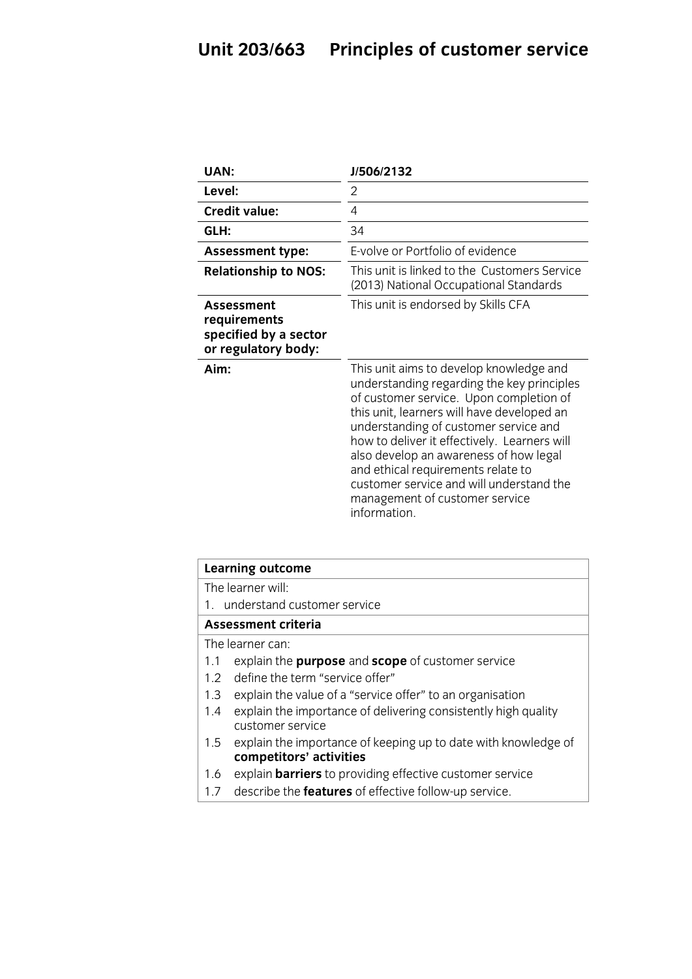| UAN:                                                                       | J/506/2132                                                                                                                                                                                                                                                                                                                                                                                                                                            |
|----------------------------------------------------------------------------|-------------------------------------------------------------------------------------------------------------------------------------------------------------------------------------------------------------------------------------------------------------------------------------------------------------------------------------------------------------------------------------------------------------------------------------------------------|
| Level:                                                                     | 2                                                                                                                                                                                                                                                                                                                                                                                                                                                     |
| <b>Credit value:</b>                                                       | 4                                                                                                                                                                                                                                                                                                                                                                                                                                                     |
| GLH:                                                                       | 34                                                                                                                                                                                                                                                                                                                                                                                                                                                    |
| <b>Assessment type:</b>                                                    | E-volve or Portfolio of evidence                                                                                                                                                                                                                                                                                                                                                                                                                      |
| <b>Relationship to NOS:</b>                                                | This unit is linked to the Customers Service<br>(2013) National Occupational Standards                                                                                                                                                                                                                                                                                                                                                                |
| Assessment<br>requirements<br>specified by a sector<br>or regulatory body: | This unit is endorsed by Skills CFA                                                                                                                                                                                                                                                                                                                                                                                                                   |
| Aim:                                                                       | This unit aims to develop knowledge and<br>understanding regarding the key principles<br>of customer service. Upon completion of<br>this unit, learners will have developed an<br>understanding of customer service and<br>how to deliver it effectively. Learners will<br>also develop an awareness of how legal<br>and ethical requirements relate to<br>customer service and will understand the<br>management of customer service<br>information. |

| Learning outcome                                                                                 |  |
|--------------------------------------------------------------------------------------------------|--|
| The learner will:                                                                                |  |
| 1. understand customer service                                                                   |  |
| <b>Assessment criteria</b>                                                                       |  |
| The learner can:                                                                                 |  |
| explain the <b>purpose</b> and <b>scope</b> of customer service<br>1.1                           |  |
| define the term "service offer"<br>1.2 <sub>2</sub>                                              |  |
| explain the value of a "service offer" to an organisation<br>1.3                                 |  |
| explain the importance of delivering consistently high quality<br>1.4<br>customer service        |  |
| explain the importance of keeping up to date with knowledge of<br>1.5<br>competitors' activities |  |
| explain <b>barriers</b> to providing effective customer service<br>1.6                           |  |
| describe the <b>features</b> of effective follow-up service.<br>1.7                              |  |

1.7 describe the **features** of effective follow-up service.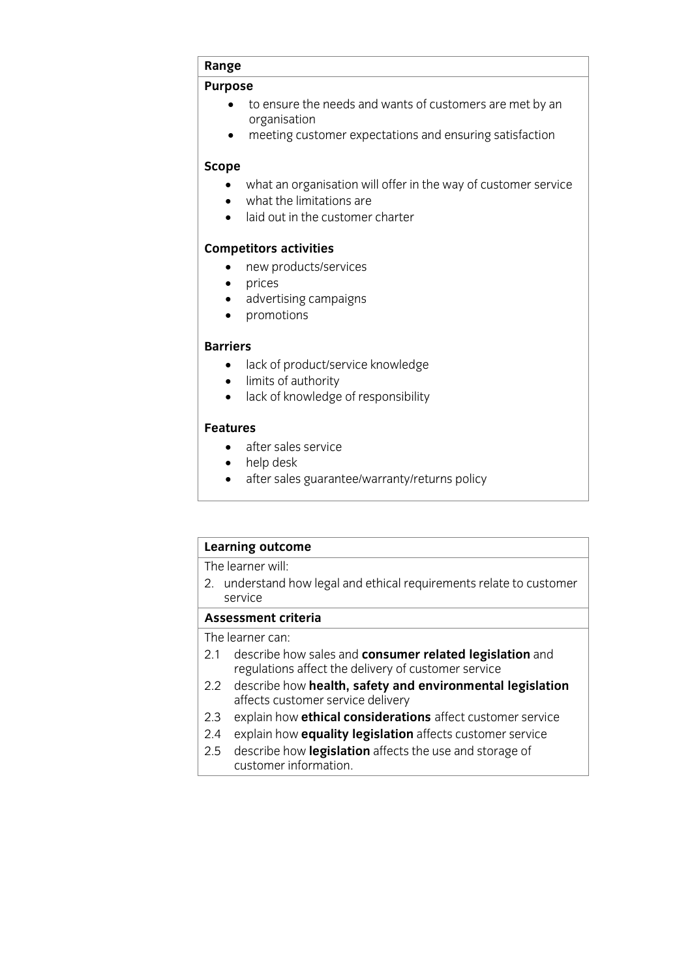## **Range Purpose**

- to ensure the needs and wants of customers are met by an organisation
- meeting customer expectations and ensuring satisfaction

## **Scope**

- what an organisation will offer in the way of customer service<br>• what the limitations are
- $\bullet$  what the limitations are<br> $\bullet$  laid out in the customer
- laid out in the customer charter

- new products/services
	- prices
	- advertising campaigns
	- $\bullet$  promotions

### **Barriers**

- **Barry Contract**<br> **Barriers** of authority<br> **Barry Contracts** 
	-
	- limits of authority<br>• lack of knowledge lack of knowledge of responsibility

### **Features**

- **Feature**<br> **Features**<br> **Features** 
	- help desk<br>• after sales
	- after sales guarantee/warranty/returns policy

## **Learning outcome**<br>The learner will:

The lundoversing 2. understand how legal and ethical requirements relate to customer

### Assessment criteria

The learner can:

- 2.1 describe how sales and consumer related legislation and regulations affect the delivery of customer service
- describe how health, safety and environmental legislation 2.2 describe how **health, safety and all describe how health, safety and all detail and all enduminglent**
- 2.3 explain how **ethical considerations** affect customer service
- 2.4 explain how **equality legislation** affects customer service
- 2.5 describe how **legislation** affects the use and storage of customer information. customer information.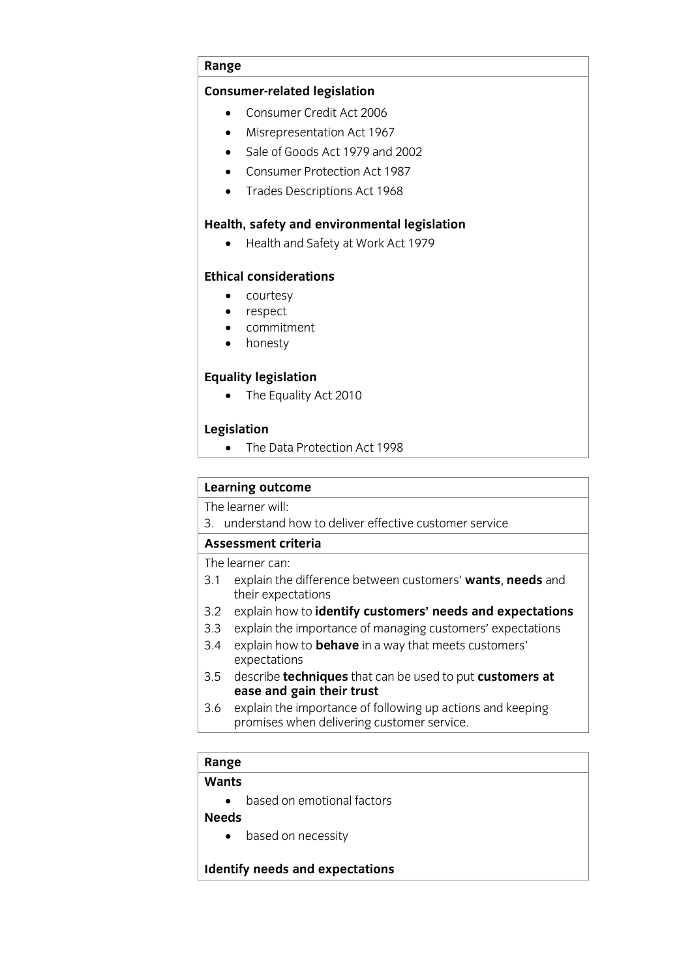### **Range**

- **Consumer-related legislation** Consumer Credit Act 2006
	- Misrepresentation Act 1967
	- Sale of Goods Act 1979 and 2002
	- Consumer Protection Act 1987
	- Trades Descriptions Act 1968

**Health and Safety at Work Act 1979** 

### **Ethical considerations**

- **Example 2**<br> **Courtesy**<br> **c** respect
	- respect
	- commitment<br>• honesty
	- honesty

• The Equality Act 2010

**Legislation** The Data Protection Act 1998

## **Learning outcome**<br>The learner will:

3. understand how to deliver effective customer service

### Assessment criteria

The learner can:

- 3.1 explain the difference between customers' wants, needs and their expectations
- 3.2 explain how to identify customers' needs and expectations
- 3.3 explain the importance of managing customers' expectations
- 3.4 explain how to **behave** in a way that meets customers' expectations
- 3.5 describe **techniques** that can be used to put **customers at**  $e$ ase and gain their trust
- $3.6$ explain the importance of following up actions and keeping 3.6 explain the importance of following up actions and helping<br>promises when delivering customer service promises when delivering customer service.

## **Range**

**Wants** • based on emotional factors<br>**Needs** 

• based on necessity

### **Identify needs and expectations**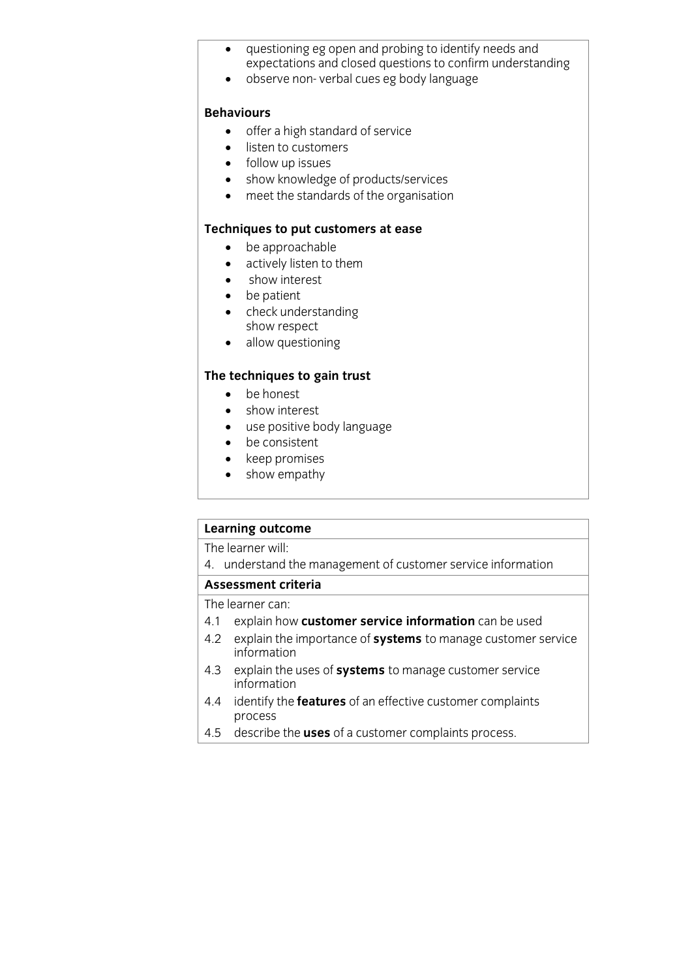- questioning eg open and probing to identify needs and<br>expectations and closed questions to confirm understanding
- expectations and closed questions to confirm understanding observe non- verbal cues eg body language

### **Behaviours**

- **BEHAVIOURS**<br> **b** offer a high standard of service
	- listen to customers
	- follow up issues
	- show knowledge of products/services
	- meet the standards of the organisation

- **Techniques put customers at the put customers of the set of the put of the put of the put of the put of the put of the put of the put of the put of the put of the put of the put of the put of the put of the put of the put** 
	- actively listen to them
	- show interest
	- be patient
	- check understanding<br>show respect
	- $\bullet$  allow questioning

- be honest<br>• show interest
	- show interest
	- use positive body language
	- be consistent
	- keep promises
	- show empathy

# **Learning outcome**<br>The learner will:

The results: This  $\frac{1}{4}$  . understand the management of customer service information

## **Assessment criteria**<br>The learner can:

- 4.1 explain how customer service information can be used
- 4.1 explain how **customer service information** can be used 4.2 explain the importance of **systems** to manage customer service
- information<br>exploin the 4.3 explain the uses of **systems** to manage customer service
- information<br>idontify the 4.4 identify the **features** of an effective customer complaints
- processe<br>docesibe 4.5 describe the **uses** of a customer complaints process.